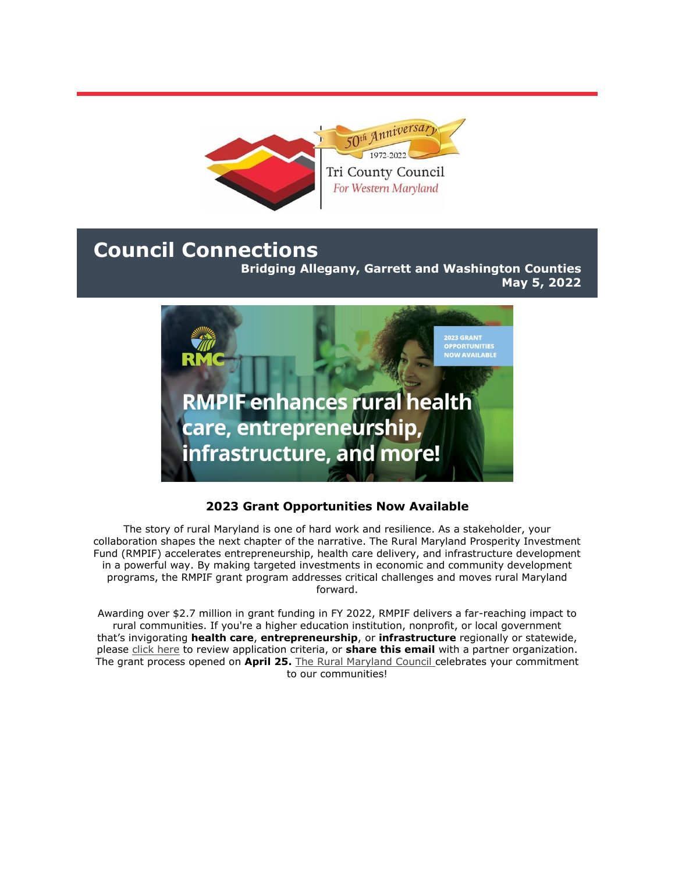

# **Council Connections**

**Bridging Allegany, Garrett and Washington Counties May 5, 2022**



## **2023 Grant Opportunities Now Available**

The story of rural Maryland is one of hard work and resilience. As a stakeholder, your collaboration shapes the next chapter of the narrative. The Rural Maryland Prosperity Investment Fund (RMPIF) accelerates entrepreneurship, health care delivery, and infrastructure development in a powerful way. By making targeted investments in economic and community development programs, the RMPIF grant program addresses critical challenges and moves rural Maryland forward.

Awarding over \$2.7 million in grant funding in FY 2022, RMPIF delivers a far-reaching impact to rural communities. If you're a higher education institution, nonprofit, or local government that's invigorating **health care**, **entrepreneurship**, or **infrastructure** regionally or statewide, please [click here](https://r20.rs6.net/tn.jsp?f=001kPJQdvdfhScb__02BONWD9PHovGWHRrmUvBR4K8kPKo9Sbvz3-fxXiMtpfT4GRDXHt8tBsqt-ctuBq4zGE21A_l38a4qC6dMYr9ROPjbgB7MVMOPwnQlJ95l3J8ktYDaLIqv7pwFxQRoDUb-xcZOYJzI6RySMeSEWSXLq7EbMB2oNU3U6G4Wmw==&c=GY36Zk4KMcTv-32XeU7yEQYDW6Wrf9rvmZJ7BXpz4UAgn8CyZd5TfA==&ch=QWlcCT29RHQ_SrNQWeEp0imekGpBWFFjNCAhRdKMZfA1tQTWpHF09Q==) to review application criteria, or **share this email** with a partner organization. The grant process opened on **April 25.** [The Rural Maryland Council c](https://r20.rs6.net/tn.jsp?f=001kPJQdvdfhScb__02BONWD9PHovGWHRrmUvBR4K8kPKo9Sbvz3-fxXrlHjFdqMjUffSu7hbmKIMcdbiydFYq-OA8QzCgtzZ0J8rujpNoZVhr17GvM7xM42ZXBdc4o0wb0TUqJKSh91ATJMqLfKyTBlA==&c=GY36Zk4KMcTv-32XeU7yEQYDW6Wrf9rvmZJ7BXpz4UAgn8CyZd5TfA==&ch=QWlcCT29RHQ_SrNQWeEp0imekGpBWFFjNCAhRdKMZfA1tQTWpHF09Q==)elebrates your commitment to our communities!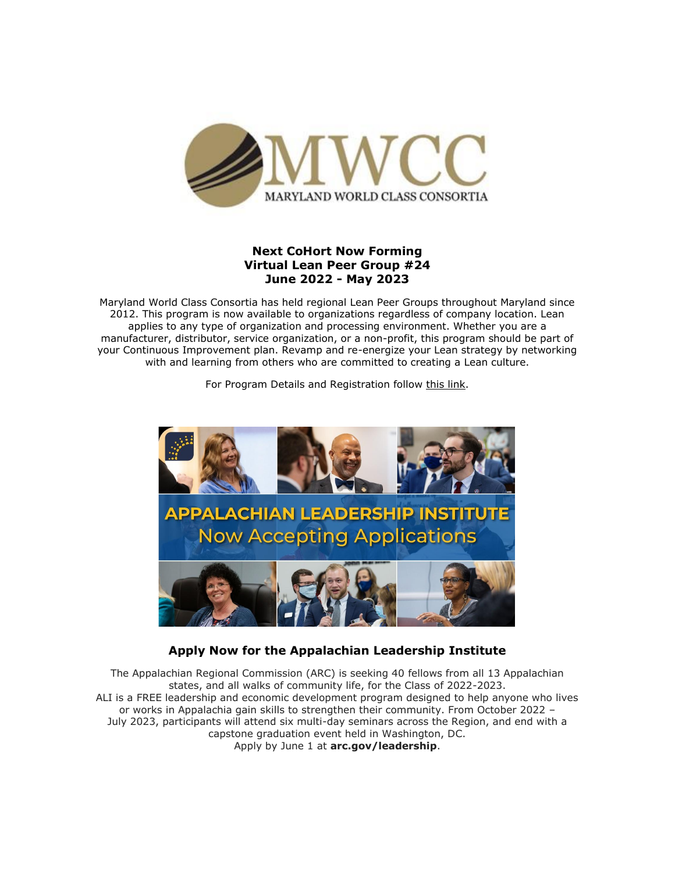

### **Next CoHort Now Forming Virtual Lean Peer Group #24 June 2022 - May 2023**

Maryland World Class Consortia has held regional Lean Peer Groups throughout Maryland since 2012. This program is now available to organizations regardless of company location. Lean applies to any type of organization and processing environment. Whether you are a manufacturer, distributor, service organization, or a non-profit, this program should be part of your Continuous Improvement plan. Revamp and re-energize your Lean strategy by networking with and learning from others who are committed to creating a Lean culture.

For Program Details and Registration follow [this link.](https://r20.rs6.net/tn.jsp?f=0012NU7iwXrSd1rs4DIvhLwLabczKM0Cnrs2WL0vkINk-j3WgVcBIL28kcGrWF8kkYA3jSVa53CDTlCg9_YHttUhEYHUw38OYarU-yPpFQI0VsdD8B9HE3rPqXsfqja-FSGE8i5iMIydprlI67YViLs7S9s4LiQL0pZXVXc55hu4i4=&c=sihYbmu6m6Di8b6P3t5KLjRNoVKdPDru48MeyCXmiQa98dQsoCA-Ug==&ch=HJRV6I3-P55Rrc-5nFl6GMqdxidghxtyg8-LGggWQ-apHwYUaDSb6A==)



#### **Apply Now for the Appalachian Leadership Institute**

The Appalachian Regional Commission (ARC) is seeking 40 fellows from all 13 Appalachian states, and all walks of community life, for the Class of 2022-2023. ALI is a FREE leadership and economic development program designed to help anyone who lives or works in Appalachia gain skills to strengthen their community. From October 2022 – July 2023, participants will attend six multi-day seminars across the Region, and end with a capstone graduation event held in Washington, DC. Apply by June 1 at **[arc.gov/leadership](https://r20.rs6.net/tn.jsp?f=0012NU7iwXrSd1rs4DIvhLwLabczKM0Cnrs2WL0vkINk-j3WgVcBIL28mCT5OvFrwvBVOlvXnOLsGmTJWkzVB8cTbT0IBgb4mPie6ir48ofBbafkb_33xfi3ndaMwpyVqQXUMy47XfzTyGhZ1w-JEV8huMp8ZPXOl3N&c=sihYbmu6m6Di8b6P3t5KLjRNoVKdPDru48MeyCXmiQa98dQsoCA-Ug==&ch=HJRV6I3-P55Rrc-5nFl6GMqdxidghxtyg8-LGggWQ-apHwYUaDSb6A==)**.